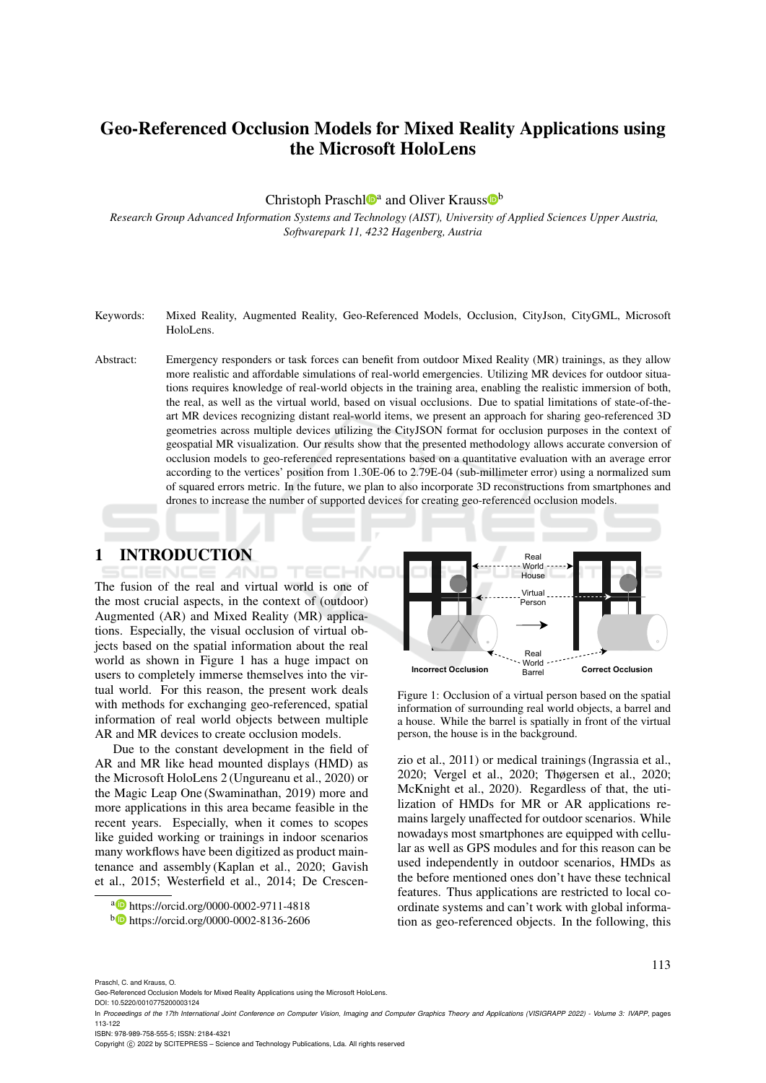# Geo-Referenced Occlusion Models for Mixed Reality Applications using the Microsoft HoloLens

Christoph Praschl<sup>to</sup><sup>a</sup> and Oliver Krauss<sup>ob</sup>

*Research Group Advanced Information Systems and Technology (AIST), University of Applied Sciences Upper Austria, Softwarepark 11, 4232 Hagenberg, Austria*

- Keywords: Mixed Reality, Augmented Reality, Geo-Referenced Models, Occlusion, CityJson, CityGML, Microsoft HoloLens.
- Abstract: Emergency responders or task forces can benefit from outdoor Mixed Reality (MR) trainings, as they allow more realistic and affordable simulations of real-world emergencies. Utilizing MR devices for outdoor situations requires knowledge of real-world objects in the training area, enabling the realistic immersion of both, the real, as well as the virtual world, based on visual occlusions. Due to spatial limitations of state-of-theart MR devices recognizing distant real-world items, we present an approach for sharing geo-referenced 3D geometries across multiple devices utilizing the CityJSON format for occlusion purposes in the context of geospatial MR visualization. Our results show that the presented methodology allows accurate conversion of occlusion models to geo-referenced representations based on a quantitative evaluation with an average error according to the vertices' position from 1.30E-06 to 2.79E-04 (sub-millimeter error) using a normalized sum of squared errors metric. In the future, we plan to also incorporate 3D reconstructions from smartphones and drones to increase the number of supported devices for creating geo-referenced occlusion models.

## 1 INTRODUCTION

The fusion of the real and virtual world is one of the most crucial aspects, in the context of (outdoor) Augmented (AR) and Mixed Reality (MR) applications. Especially, the visual occlusion of virtual objects based on the spatial information about the real world as shown in Figure 1 has a huge impact on users to completely immerse themselves into the virtual world. For this reason, the present work deals with methods for exchanging geo-referenced, spatial information of real world objects between multiple AR and MR devices to create occlusion models.

Due to the constant development in the field of AR and MR like head mounted displays (HMD) as the Microsoft HoloLens 2 (Ungureanu et al., 2020) or the Magic Leap One (Swaminathan, 2019) more and more applications in this area became feasible in the recent years. Especially, when it comes to scopes like guided working or trainings in indoor scenarios many workflows have been digitized as product maintenance and assembly (Kaplan et al., 2020; Gavish et al., 2015; Westerfield et al., 2014; De Crescen-



Figure 1: Occlusion of a virtual person based on the spatial information of surrounding real world objects, a barrel and a house. While the barrel is spatially in front of the virtual person, the house is in the background.

zio et al., 2011) or medical trainings (Ingrassia et al., 2020; Vergel et al., 2020; Thøgersen et al., 2020; McKnight et al., 2020). Regardless of that, the utilization of HMDs for MR or AR applications remains largely unaffected for outdoor scenarios. While nowadays most smartphones are equipped with cellular as well as GPS modules and for this reason can be used independently in outdoor scenarios, HMDs as the before mentioned ones don't have these technical features. Thus applications are restricted to local coordinate systems and can't work with global information as geo-referenced objects. In the following, this

113

Praschl, C. and Krauss, O.

Geo-Referenced Occlusion Models for Mixed Reality Applications using the Microsoft HoloLens.

DOI: 10.5220/0010775200003124

ISBN: 978-989-758-555-5; ISSN: 2184-4321

Copyright (C) 2022 by SCITEPRESS - Science and Technology Publications, Lda. All rights reserved

<sup>a</sup> https://orcid.org/0000-0002-9711-4818

<sup>b</sup> https://orcid.org/0000-0002-8136-2606

In *Proceedings of the 17th International Joint Conference on Computer Vision, Imaging and Computer Graphics Theory and Applications (VISIGRAPP 2022) - Volume 3: IVAPP*, pages 113-122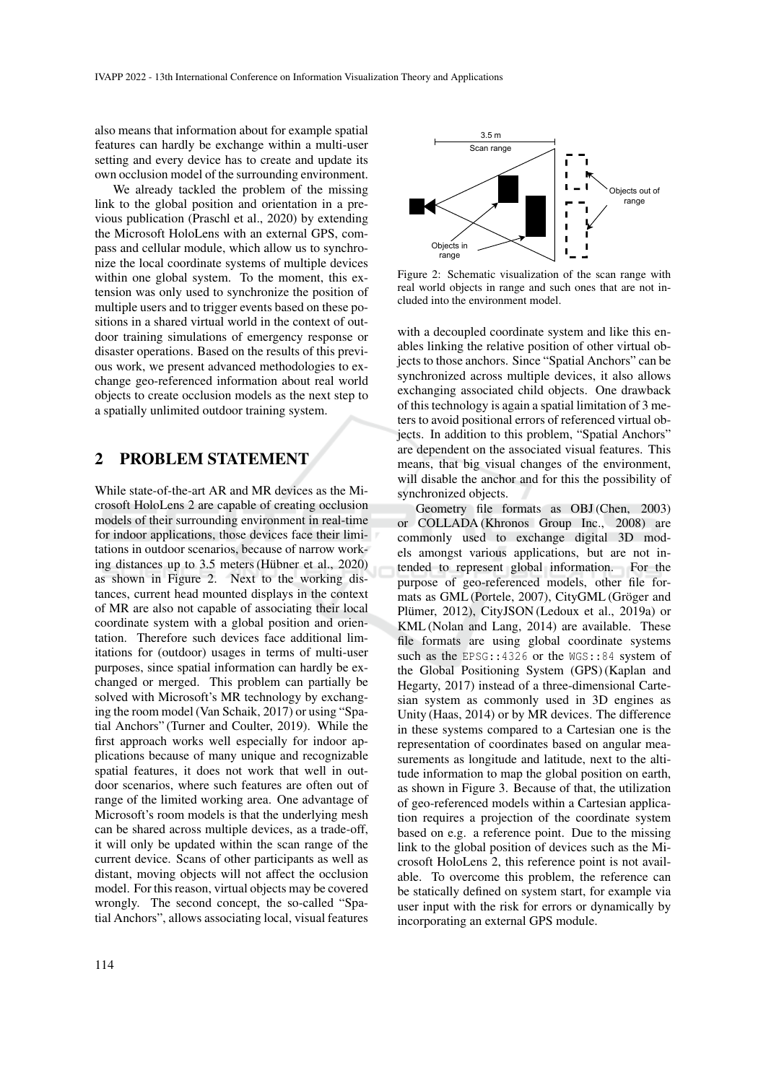also means that information about for example spatial features can hardly be exchange within a multi-user setting and every device has to create and update its own occlusion model of the surrounding environment.

We already tackled the problem of the missing link to the global position and orientation in a previous publication (Praschl et al., 2020) by extending the Microsoft HoloLens with an external GPS, compass and cellular module, which allow us to synchronize the local coordinate systems of multiple devices within one global system. To the moment, this extension was only used to synchronize the position of multiple users and to trigger events based on these positions in a shared virtual world in the context of outdoor training simulations of emergency response or disaster operations. Based on the results of this previous work, we present advanced methodologies to exchange geo-referenced information about real world objects to create occlusion models as the next step to a spatially unlimited outdoor training system.

## 2 PROBLEM STATEMENT

While state-of-the-art AR and MR devices as the Microsoft HoloLens 2 are capable of creating occlusion models of their surrounding environment in real-time for indoor applications, those devices face their limitations in outdoor scenarios, because of narrow working distances up to  $3.5$  meters (Hübner et al., 2020) as shown in Figure 2. Next to the working distances, current head mounted displays in the context of MR are also not capable of associating their local coordinate system with a global position and orientation. Therefore such devices face additional limitations for (outdoor) usages in terms of multi-user purposes, since spatial information can hardly be exchanged or merged. This problem can partially be solved with Microsoft's MR technology by exchanging the room model (Van Schaik, 2017) or using "Spatial Anchors" (Turner and Coulter, 2019). While the first approach works well especially for indoor applications because of many unique and recognizable spatial features, it does not work that well in outdoor scenarios, where such features are often out of range of the limited working area. One advantage of Microsoft's room models is that the underlying mesh can be shared across multiple devices, as a trade-off, it will only be updated within the scan range of the current device. Scans of other participants as well as distant, moving objects will not affect the occlusion model. For this reason, virtual objects may be covered wrongly. The second concept, the so-called "Spatial Anchors", allows associating local, visual features



Figure 2: Schematic visualization of the scan range with real world objects in range and such ones that are not included into the environment model.

with a decoupled coordinate system and like this enables linking the relative position of other virtual objects to those anchors. Since "Spatial Anchors" can be synchronized across multiple devices, it also allows exchanging associated child objects. One drawback of this technology is again a spatial limitation of 3 meters to avoid positional errors of referenced virtual objects. In addition to this problem, "Spatial Anchors" are dependent on the associated visual features. This means, that big visual changes of the environment, will disable the anchor and for this the possibility of synchronized objects.

Geometry file formats as OBJ (Chen, 2003) or COLLADA (Khronos Group Inc., 2008) are commonly used to exchange digital 3D models amongst various applications, but are not intended to represent global information. For the purpose of geo-referenced models, other file formats as GML (Portele, 2007), CityGML (Gröger and Plümer, 2012), CityJSON (Ledoux et al., 2019a) or KML (Nolan and Lang, 2014) are available. These file formats are using global coordinate systems such as the EPSG::4326 or the WGS::84 system of the Global Positioning System (GPS) (Kaplan and Hegarty, 2017) instead of a three-dimensional Cartesian system as commonly used in 3D engines as Unity (Haas, 2014) or by MR devices. The difference in these systems compared to a Cartesian one is the representation of coordinates based on angular measurements as longitude and latitude, next to the altitude information to map the global position on earth, as shown in Figure 3. Because of that, the utilization of geo-referenced models within a Cartesian application requires a projection of the coordinate system based on e.g. a reference point. Due to the missing link to the global position of devices such as the Microsoft HoloLens 2, this reference point is not available. To overcome this problem, the reference can be statically defined on system start, for example via user input with the risk for errors or dynamically by incorporating an external GPS module.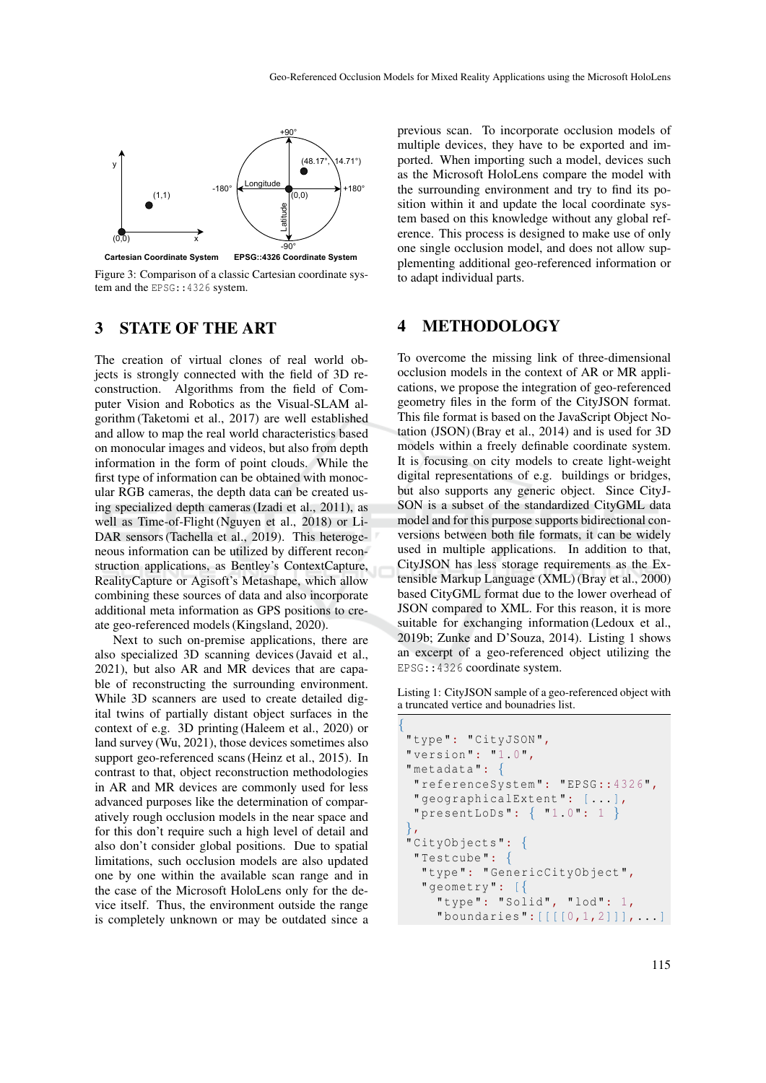

Figure 3: Comparison of a classic Cartesian coordinate system and the EPSG: : 4326 system.

### 3 STATE OF THE ART

The creation of virtual clones of real world objects is strongly connected with the field of 3D reconstruction. Algorithms from the field of Computer Vision and Robotics as the Visual-SLAM algorithm (Taketomi et al., 2017) are well established and allow to map the real world characteristics based on monocular images and videos, but also from depth information in the form of point clouds. While the first type of information can be obtained with monocular RGB cameras, the depth data can be created using specialized depth cameras (Izadi et al., 2011), as well as Time-of-Flight (Nguyen et al., 2018) or Li-DAR sensors (Tachella et al., 2019). This heterogeneous information can be utilized by different reconstruction applications, as Bentley's ContextCapture, RealityCapture or Agisoft's Metashape, which allow combining these sources of data and also incorporate additional meta information as GPS positions to create geo-referenced models (Kingsland, 2020).

Next to such on-premise applications, there are also specialized 3D scanning devices (Javaid et al., 2021), but also AR and MR devices that are capable of reconstructing the surrounding environment. While 3D scanners are used to create detailed digital twins of partially distant object surfaces in the context of e.g. 3D printing (Haleem et al., 2020) or land survey (Wu, 2021), those devices sometimes also support geo-referenced scans (Heinz et al., 2015). In contrast to that, object reconstruction methodologies in AR and MR devices are commonly used for less advanced purposes like the determination of comparatively rough occlusion models in the near space and for this don't require such a high level of detail and also don't consider global positions. Due to spatial limitations, such occlusion models are also updated one by one within the available scan range and in the case of the Microsoft HoloLens only for the device itself. Thus, the environment outside the range is completely unknown or may be outdated since a

previous scan. To incorporate occlusion models of multiple devices, they have to be exported and imported. When importing such a model, devices such as the Microsoft HoloLens compare the model with the surrounding environment and try to find its position within it and update the local coordinate system based on this knowledge without any global reference. This process is designed to make use of only one single occlusion model, and does not allow supplementing additional geo-referenced information or to adapt individual parts.

### 4 METHODOLOGY

To overcome the missing link of three-dimensional occlusion models in the context of AR or MR applications, we propose the integration of geo-referenced geometry files in the form of the CityJSON format. This file format is based on the JavaScript Object Notation (JSON) (Bray et al., 2014) and is used for 3D models within a freely definable coordinate system. It is focusing on city models to create light-weight digital representations of e.g. buildings or bridges, but also supports any generic object. Since CityJ-SON is a subset of the standardized CityGML data model and for this purpose supports bidirectional conversions between both file formats, it can be widely used in multiple applications. In addition to that, CityJSON has less storage requirements as the Extensible Markup Language (XML) (Bray et al., 2000) based CityGML format due to the lower overhead of JSON compared to XML. For this reason, it is more suitable for exchanging information (Ledoux et al., 2019b; Zunke and D'Souza, 2014). Listing 1 shows an excerpt of a geo-referenced object utilizing the EPSG::4326 coordinate system.

Listing 1: CityJSON sample of a geo-referenced object with a truncated vertice and bounadries list.

```
{
 "type": "CityJSON",
 " version ": "1.0",
 " metadata ": {
  " referenceSystem ": " EPSG::4326",
  " geographicalExtent ": [...],
  " presentLoDs ": { "1.0": 1 }
 },
 " CityObjects ": {
  " Testcube ": {
   " type ": " GenericCityObject ",
   " geometry ": [{
     "type": "Solid", "lod": 1,
     "boundaries":[[|0,1,2]]],...]
```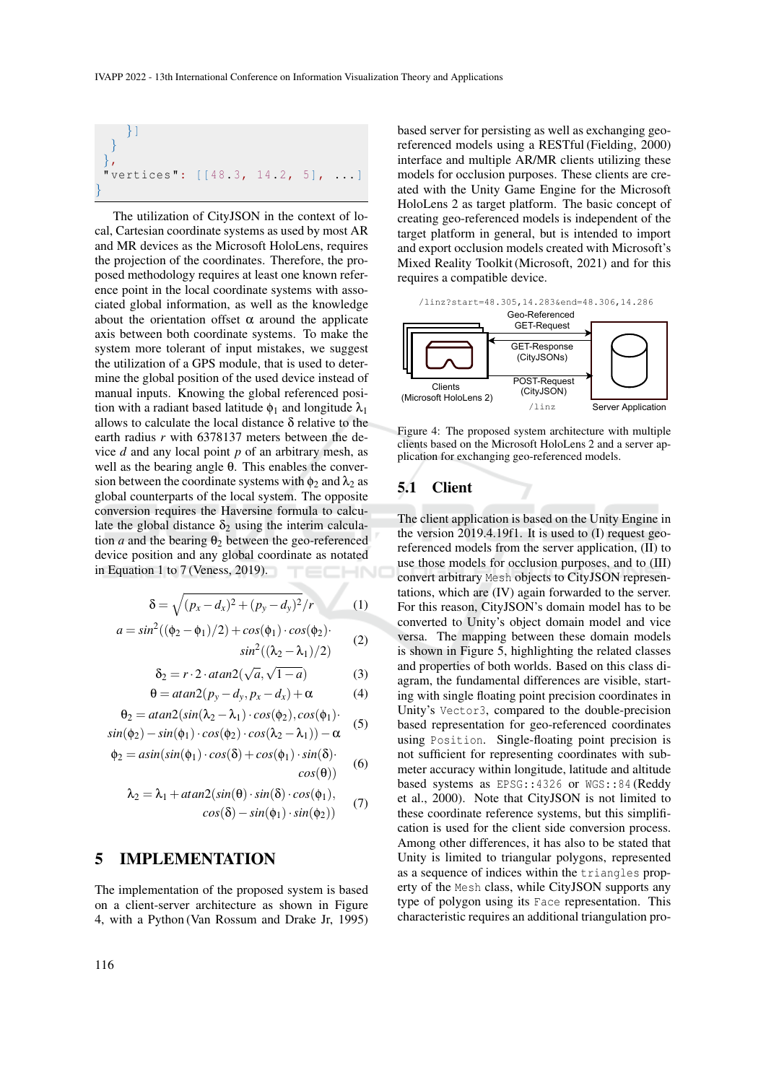}}  
}  
;\n
$$
\}
$$

The utilization of CityJSON in the context of local, Cartesian coordinate systems as used by most AR and MR devices as the Microsoft HoloLens, requires the projection of the coordinates. Therefore, the proposed methodology requires at least one known reference point in the local coordinate systems with associated global information, as well as the knowledge about the orientation offset  $\alpha$  around the applicate axis between both coordinate systems. To make the system more tolerant of input mistakes, we suggest the utilization of a GPS module, that is used to determine the global position of the used device instead of manual inputs. Knowing the global referenced position with a radiant based latitude  $\phi_1$  and longitude  $\lambda_1$ allows to calculate the local distance δ relative to the earth radius *r* with 6378137 meters between the device *d* and any local point *p* of an arbitrary mesh, as well as the bearing angle θ. This enables the conversion between the coordinate systems with  $\phi_2$  and  $\lambda_2$  as global counterparts of the local system. The opposite conversion requires the Haversine formula to calculate the global distance  $\delta_2$  using the interim calculation *a* and the bearing  $\theta_2$  between the geo-referenced device position and any global coordinate as notated in Equation 1 to 7 (Veness, 2019). IHNO

$$
\delta = \sqrt{(p_x - d_x)^2 + (p_y - d_y)^2}/r
$$
 (1)

$$
a = \sin^2((\phi_2 - \phi_1)/2) + \cos(\phi_1) \cdot \cos(\phi_2) \cdot \sin^2((\lambda_2 - \lambda_1)/2)
$$
 (2)

$$
\delta_2 = r \cdot 2 \cdot \arctan\left(\sqrt{a}, \sqrt{1-a}\right) \tag{3}
$$

$$
\theta = \text{atan2}(p_y - d_y, p_x - d_x) + \alpha \tag{4}
$$

$$
\theta_2 = \frac{atan2(sin(\lambda_2 - \lambda_1) \cdot cos(\phi_2), cos(\phi_1))}{}
$$

$$
sin(\phi_2) - sin(\phi_1) \cdot cos(\phi_2) \cdot cos(\phi_2), cos(\phi_1)
$$
  
\n
$$
sin(\phi_2) - sin(\phi_1) \cdot cos(\phi_2) \cdot cos(\lambda_2 - \lambda_1)) - \alpha
$$
 (5)

$$
\phi_2 = a\sin(\sin(\phi_1) \cdot \cos(\delta) + \cos(\phi_1) \cdot \sin(\delta) \cdot \cos(\theta)) \tag{6}
$$

$$
\lambda_2 = \lambda_1 + \frac{atan2(sin(\theta) \cdot sin(\delta) \cdot cos(\phi_1))}{cos(\delta) - sin(\phi_1) \cdot sin(\phi_2))}
$$
 (7)

### 5 IMPLEMENTATION

The implementation of the proposed system is based on a client-server architecture as shown in Figure 4, with a Python (Van Rossum and Drake Jr, 1995)

based server for persisting as well as exchanging georeferenced models using a RESTful (Fielding, 2000) interface and multiple AR/MR clients utilizing these models for occlusion purposes. These clients are created with the Unity Game Engine for the Microsoft HoloLens 2 as target platform. The basic concept of creating geo-referenced models is independent of the target platform in general, but is intended to import and export occlusion models created with Microsoft's Mixed Reality Toolkit (Microsoft, 2021) and for this requires a compatible device.





Figure 4: The proposed system architecture with multiple clients based on the Microsoft HoloLens 2 and a server application for exchanging geo-referenced models.

# 5.1 Client

The client application is based on the Unity Engine in the version 2019.4.19f1. It is used to (I) request georeferenced models from the server application, (II) to use those models for occlusion purposes, and to (III) convert arbitrary Mesh objects to CityJSON representations, which are (IV) again forwarded to the server. For this reason, CityJSON's domain model has to be converted to Unity's object domain model and vice versa. The mapping between these domain models is shown in Figure 5, highlighting the related classes and properties of both worlds. Based on this class diagram, the fundamental differences are visible, starting with single floating point precision coordinates in Unity's Vector3, compared to the double-precision based representation for geo-referenced coordinates using Position. Single-floating point precision is not sufficient for representing coordinates with submeter accuracy within longitude, latitude and altitude based systems as EPSG::4326 or WGS::84 (Reddy et al., 2000). Note that CityJSON is not limited to these coordinate reference systems, but this simplification is used for the client side conversion process. Among other differences, it has also to be stated that Unity is limited to triangular polygons, represented as a sequence of indices within the triangles property of the Mesh class, while CityJSON supports any type of polygon using its Face representation. This characteristic requires an additional triangulation pro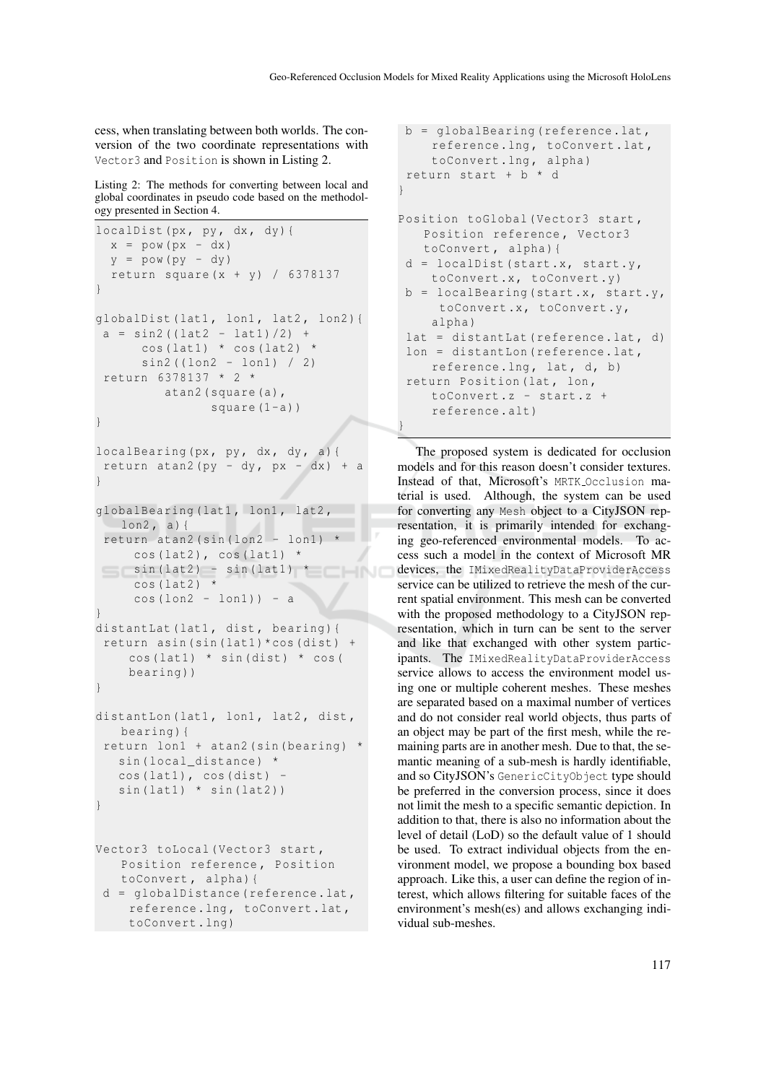cess, when translating between both worlds. The conversion of the two coordinate representations with Vector3 and Position is shown in Listing 2.

Listing 2: The methods for converting between local and global coordinates in pseudo code based on the methodology presented in Section 4.

```
localDist(px, py, dx, dy){
  x = pow (px - dx)y = pow (py - dy)return square (x + y) / 6378137
}
qlobalDist (lat1, lon1, lat2, lon2) {
 a = \sin 2 ((\ln 2 - \ln 1)/2) +cos (lat1) * cos (lat2) *sin2 ((lon2 - lon1) / 2)return 6378137 * 2 *
         atan2 ( square (a) ,
                square (1-a))
}
localBearing (px, py, dx, dy, a) {
return atan2 (py - dy, px - dx) + a
}
globalBearing (lat1, lon1, lat2,
  lon2, a) {
 return atan2 (sin (lon2 - lon1) *cos (lat2), cos (lat1) *\sin(\text{lat2}) - \sin(\text{lat1}) *
     cos(lat2)cos (lon2 - lon1) ) - a
}
distantLat (lat1, dist, bearing) {
 return asin (sin (lat1) * cos (dist) +cos (lat1) * sin (dist) * cos (bearing ))
}
distantLon (lat1, lon1, lat2, dist,
   bearing ){
 return lon1 + atan2 (sin ( bearing) *sin (local_distance) *
   cos (lat1), cos (dist) -
   sin(lat1) * sin(lat2)}
Vector3 toLocal (Vector3 start,
   Position reference , Position
   toConvert, alpha) {
 d = globalDistance ( reference .lat ,
    reference .lng , toConvert .lat ,
```

```
toConvert . lng )
```

```
b = globalBearing ( reference .lat ,
    reference.lng, toConvert.lat,
    toConvert .lng , alpha )
return start + b * d
}
Position toGlobal (Vector3 start,
   Position reference , Vector3
   toConvert, alpha) {
d = localDist (start.x, start.y,
   toConvert.x, toConvert.v)
b = localBearing (start.x, start.y,
     toConvert.x, toConvert.y,
    alpha )
lat = distantLat (reference.lat, d)
 lon = distantLon (reference.lat,
    reference.lng, lat, d, b)return Position (lat, lon,
    toConvert .z - start .z +
    reference . alt )
}
```
The proposed system is dedicated for occlusion models and for this reason doesn't consider textures. Instead of that, Microsoft's MRTK Occlusion material is used. Although, the system can be used for converting any Mesh object to a CityJSON representation, it is primarily intended for exchanging geo-referenced environmental models. To access such a model in the context of Microsoft MR devices, the IMixedRealityDataProviderAccess service can be utilized to retrieve the mesh of the current spatial environment. This mesh can be converted with the proposed methodology to a CityJSON representation, which in turn can be sent to the server and like that exchanged with other system participants. The IMixedRealityDataProviderAccess service allows to access the environment model using one or multiple coherent meshes. These meshes are separated based on a maximal number of vertices and do not consider real world objects, thus parts of an object may be part of the first mesh, while the remaining parts are in another mesh. Due to that, the semantic meaning of a sub-mesh is hardly identifiable, and so CityJSON's GenericCityObject type should be preferred in the conversion process, since it does not limit the mesh to a specific semantic depiction. In addition to that, there is also no information about the level of detail (LoD) so the default value of 1 should be used. To extract individual objects from the environment model, we propose a bounding box based approach. Like this, a user can define the region of interest, which allows filtering for suitable faces of the environment's mesh(es) and allows exchanging individual sub-meshes.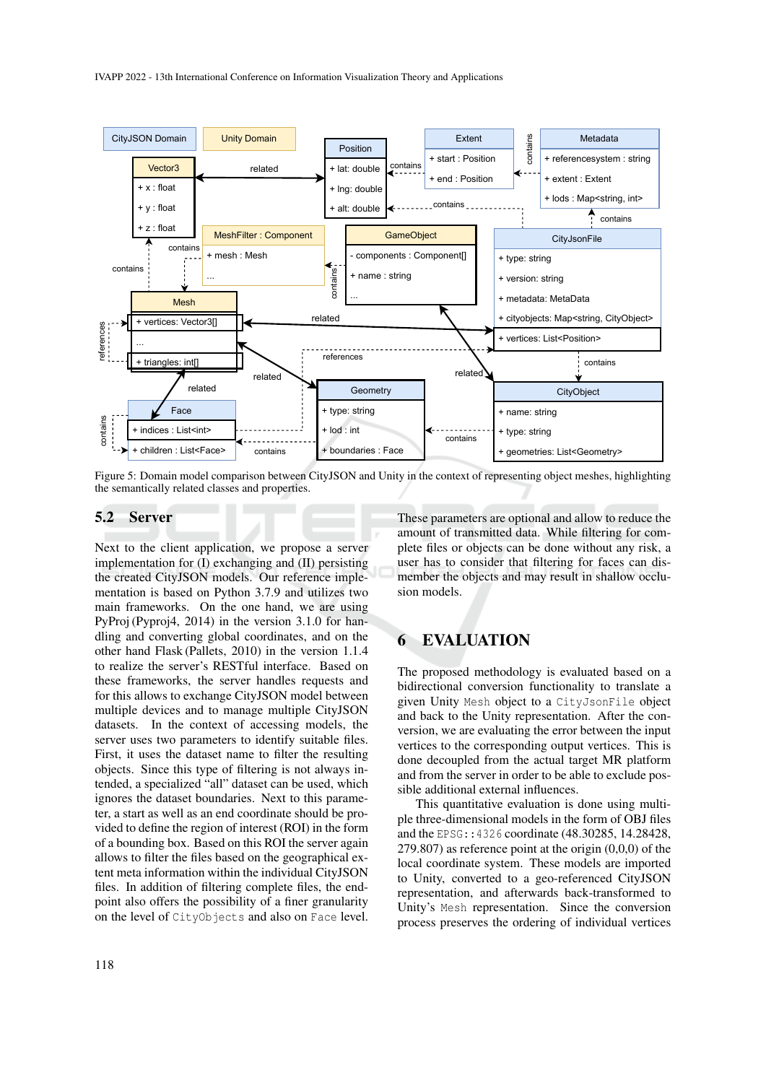

Figure 5: Domain model comparison between CityJSON and Unity in the context of representing object meshes, highlighting the semantically related classes and properties.

#### 5.2 Server

Next to the client application, we propose a server implementation for (I) exchanging and (II) persisting the created CityJSON models. Our reference implementation is based on Python 3.7.9 and utilizes two main frameworks. On the one hand, we are using PyProj (Pyproj4, 2014) in the version 3.1.0 for handling and converting global coordinates, and on the other hand Flask (Pallets, 2010) in the version 1.1.4 to realize the server's RESTful interface. Based on these frameworks, the server handles requests and for this allows to exchange CityJSON model between multiple devices and to manage multiple CityJSON datasets. In the context of accessing models, the server uses two parameters to identify suitable files. First, it uses the dataset name to filter the resulting objects. Since this type of filtering is not always intended, a specialized "all" dataset can be used, which ignores the dataset boundaries. Next to this parameter, a start as well as an end coordinate should be provided to define the region of interest (ROI) in the form of a bounding box. Based on this ROI the server again allows to filter the files based on the geographical extent meta information within the individual CityJSON files. In addition of filtering complete files, the endpoint also offers the possibility of a finer granularity on the level of CityObjects and also on Face level.

These parameters are optional and allow to reduce the amount of transmitted data. While filtering for complete files or objects can be done without any risk, a user has to consider that filtering for faces can dismember the objects and may result in shallow occlusion models.

## 6 EVALUATION

The proposed methodology is evaluated based on a bidirectional conversion functionality to translate a given Unity Mesh object to a CityJsonFile object and back to the Unity representation. After the conversion, we are evaluating the error between the input vertices to the corresponding output vertices. This is done decoupled from the actual target MR platform and from the server in order to be able to exclude possible additional external influences.

This quantitative evaluation is done using multiple three-dimensional models in the form of OBJ files and the EPSG::4326 coordinate (48.30285, 14.28428,  $279.807$ ) as reference point at the origin  $(0,0,0)$  of the local coordinate system. These models are imported to Unity, converted to a geo-referenced CityJSON representation, and afterwards back-transformed to Unity's Mesh representation. Since the conversion process preserves the ordering of individual vertices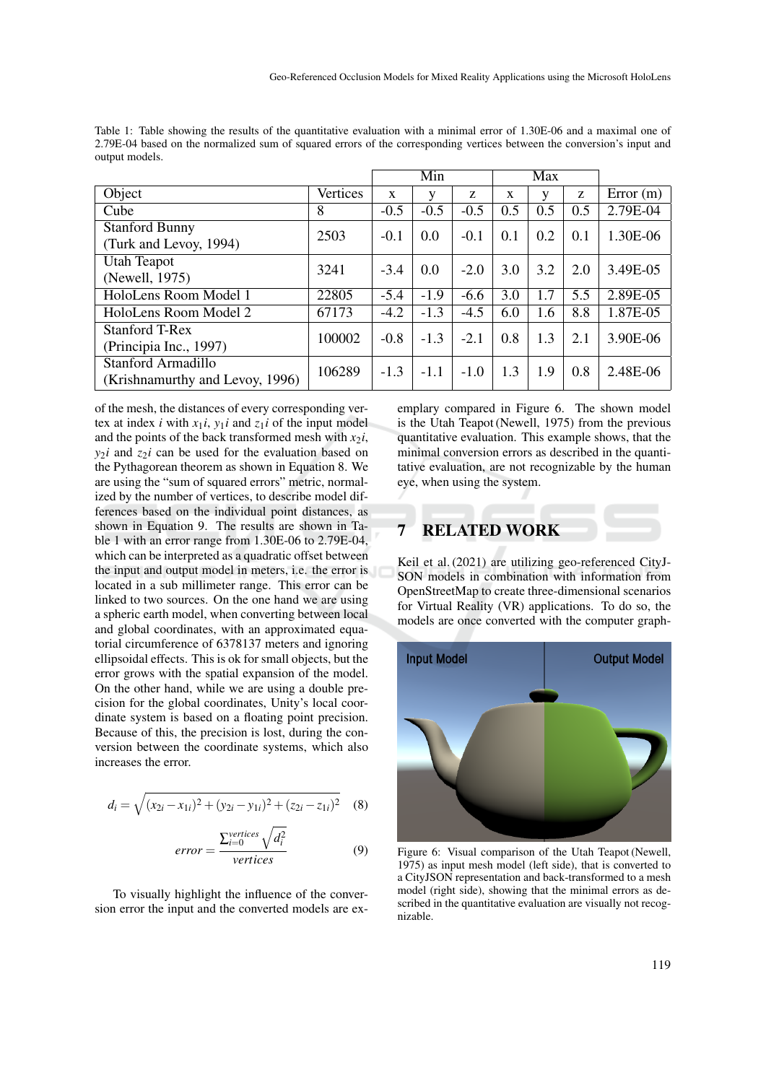|                                                       |          | Min          |        |        | Max |     |     |          |
|-------------------------------------------------------|----------|--------------|--------|--------|-----|-----|-----|----------|
| Object                                                | Vertices | $\mathbf{x}$ |        | Z      | X   | v   | Z   | Error(m) |
| Cube                                                  | 8        | $-0.5$       | $-0.5$ | $-0.5$ | 0.5 | 0.5 | 0.5 | 2.79E-04 |
| <b>Stanford Bunny</b><br>(Turk and Levoy, 1994)       | 2503     | $-0.1$       | 0.0    | $-0.1$ | 0.1 | 0.2 | 0.1 | 1.30E-06 |
| Utah Teapot<br>(Newell, 1975)                         | 3241     | $-3.4$       | 0.0    | $-2.0$ | 3.0 | 3.2 | 2.0 | 3.49E-05 |
| HoloLens Room Model 1                                 | 22805    | $-5.4$       | $-1.9$ | $-6.6$ | 3.0 | 1.7 | 5.5 | 2.89E-05 |
| HoloLens Room Model 2                                 | 67173    | $-4.2$       | $-1.3$ | $-4.5$ | 6.0 | 1.6 | 8.8 | 1.87E-05 |
| <b>Stanford T-Rex</b><br>(Principia Inc., 1997)       | 100002   | $-0.8$       | $-1.3$ | $-2.1$ | 0.8 | 1.3 | 2.1 | 3.90E-06 |
| Stanford Armadillo<br>(Krishnamurthy and Levoy, 1996) | 106289   | $-1.3$       | $-1.1$ | $-1.0$ | 1.3 | 1.9 | 0.8 | 2.48E-06 |

Table 1: Table showing the results of the quantitative evaluation with a minimal error of 1.30E-06 and a maximal one of 2.79E-04 based on the normalized sum of squared errors of the corresponding vertices between the conversion's input and output models.

of the mesh, the distances of every corresponding vertex at index *i* with  $x_1i$ ,  $y_1i$  and  $z_1i$  of the input model and the points of the back transformed mesh with  $x_2$ *i*,  $y_2$ *i* and  $z_2$ *i* can be used for the evaluation based on the Pythagorean theorem as shown in Equation 8. We are using the "sum of squared errors" metric, normalized by the number of vertices, to describe model differences based on the individual point distances, as shown in Equation 9. The results are shown in Table 1 with an error range from 1.30E-06 to 2.79E-04, which can be interpreted as a quadratic offset between the input and output model in meters, i.e. the error is located in a sub millimeter range. This error can be linked to two sources. On the one hand we are using a spheric earth model, when converting between local and global coordinates, with an approximated equatorial circumference of 6378137 meters and ignoring ellipsoidal effects. This is ok for small objects, but the error grows with the spatial expansion of the model. On the other hand, while we are using a double precision for the global coordinates, Unity's local coordinate system is based on a floating point precision. Because of this, the precision is lost, during the conversion between the coordinate systems, which also increases the error.

$$
d_i = \sqrt{(x_{2i} - x_{1i})^2 + (y_{2i} - y_{1i})^2 + (z_{2i} - z_{1i})^2}
$$
 (8)

$$
error = \frac{\sum_{i=0}^{vertices} \sqrt{d_i^2}}{vertices}
$$
 (9)

To visually highlight the influence of the conversion error the input and the converted models are exemplary compared in Figure 6. The shown model is the Utah Teapot (Newell, 1975) from the previous quantitative evaluation. This example shows, that the minimal conversion errors as described in the quantitative evaluation, are not recognizable by the human eye, when using the system.

## **RELATED WORK**

Keil et al. (2021) are utilizing geo-referenced CityJ-SON models in combination with information from OpenStreetMap to create three-dimensional scenarios for Virtual Reality (VR) applications. To do so, the models are once converted with the computer graph-



Figure 6: Visual comparison of the Utah Teapot (Newell, 1975) as input mesh model (left side), that is converted to a CityJSON representation and back-transformed to a mesh model (right side), showing that the minimal errors as described in the quantitative evaluation are visually not recognizable.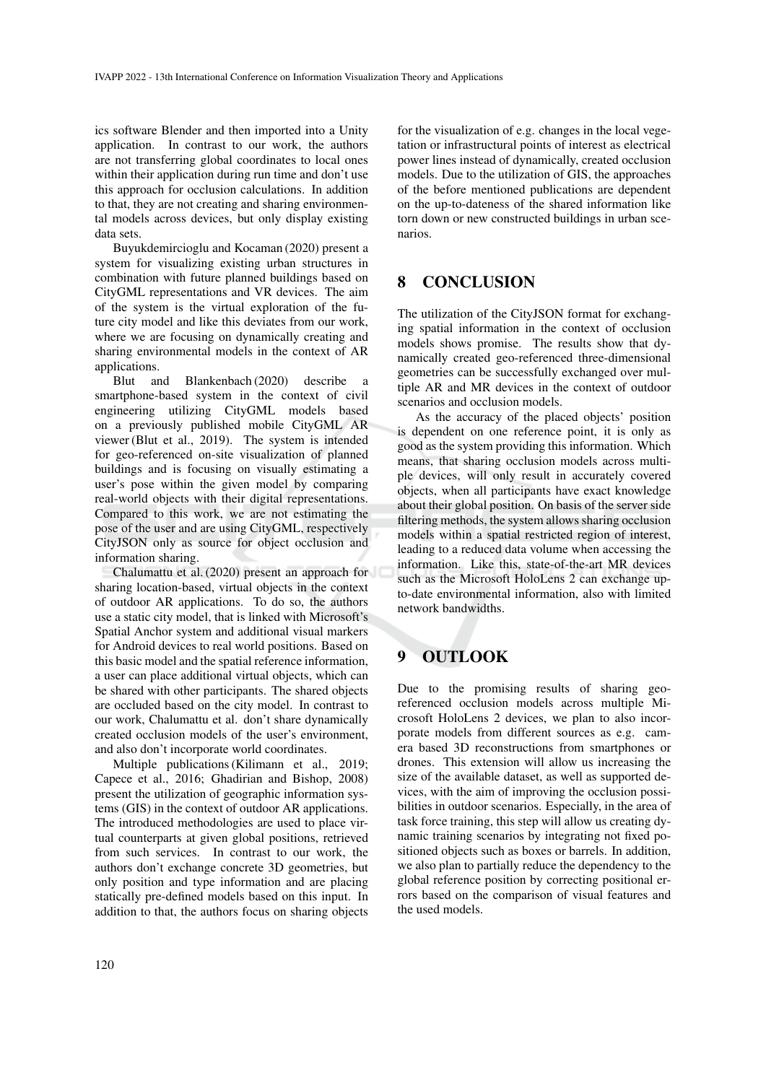ics software Blender and then imported into a Unity application. In contrast to our work, the authors are not transferring global coordinates to local ones within their application during run time and don't use this approach for occlusion calculations. In addition to that, they are not creating and sharing environmental models across devices, but only display existing data sets.

Buyukdemircioglu and Kocaman (2020) present a system for visualizing existing urban structures in combination with future planned buildings based on CityGML representations and VR devices. The aim of the system is the virtual exploration of the future city model and like this deviates from our work, where we are focusing on dynamically creating and sharing environmental models in the context of AR applications.

Blut and Blankenbach (2020) describe a smartphone-based system in the context of civil engineering utilizing CityGML models based on a previously published mobile CityGML AR viewer (Blut et al., 2019). The system is intended for geo-referenced on-site visualization of planned buildings and is focusing on visually estimating a user's pose within the given model by comparing real-world objects with their digital representations. Compared to this work, we are not estimating the pose of the user and are using CityGML, respectively CityJSON only as source for object occlusion and information sharing.

Chalumattu et al. (2020) present an approach for sharing location-based, virtual objects in the context of outdoor AR applications. To do so, the authors use a static city model, that is linked with Microsoft's Spatial Anchor system and additional visual markers for Android devices to real world positions. Based on this basic model and the spatial reference information, a user can place additional virtual objects, which can be shared with other participants. The shared objects are occluded based on the city model. In contrast to our work, Chalumattu et al. don't share dynamically created occlusion models of the user's environment, and also don't incorporate world coordinates.

Multiple publications (Kilimann et al., 2019; Capece et al., 2016; Ghadirian and Bishop, 2008) present the utilization of geographic information systems (GIS) in the context of outdoor AR applications. The introduced methodologies are used to place virtual counterparts at given global positions, retrieved from such services. In contrast to our work, the authors don't exchange concrete 3D geometries, but only position and type information and are placing statically pre-defined models based on this input. In addition to that, the authors focus on sharing objects

for the visualization of e.g. changes in the local vegetation or infrastructural points of interest as electrical power lines instead of dynamically, created occlusion models. Due to the utilization of GIS, the approaches of the before mentioned publications are dependent on the up-to-dateness of the shared information like torn down or new constructed buildings in urban scenarios.

## 8 CONCLUSION

The utilization of the CityJSON format for exchanging spatial information in the context of occlusion models shows promise. The results show that dynamically created geo-referenced three-dimensional geometries can be successfully exchanged over multiple AR and MR devices in the context of outdoor scenarios and occlusion models.

As the accuracy of the placed objects' position is dependent on one reference point, it is only as good as the system providing this information. Which means, that sharing occlusion models across multiple devices, will only result in accurately covered objects, when all participants have exact knowledge about their global position. On basis of the server side filtering methods, the system allows sharing occlusion models within a spatial restricted region of interest, leading to a reduced data volume when accessing the information. Like this, state-of-the-art MR devices such as the Microsoft HoloLens 2 can exchange upto-date environmental information, also with limited network bandwidths.

## 9 OUTLOOK

Due to the promising results of sharing georeferenced occlusion models across multiple Microsoft HoloLens 2 devices, we plan to also incorporate models from different sources as e.g. camera based 3D reconstructions from smartphones or drones. This extension will allow us increasing the size of the available dataset, as well as supported devices, with the aim of improving the occlusion possibilities in outdoor scenarios. Especially, in the area of task force training, this step will allow us creating dynamic training scenarios by integrating not fixed positioned objects such as boxes or barrels. In addition, we also plan to partially reduce the dependency to the global reference position by correcting positional errors based on the comparison of visual features and the used models.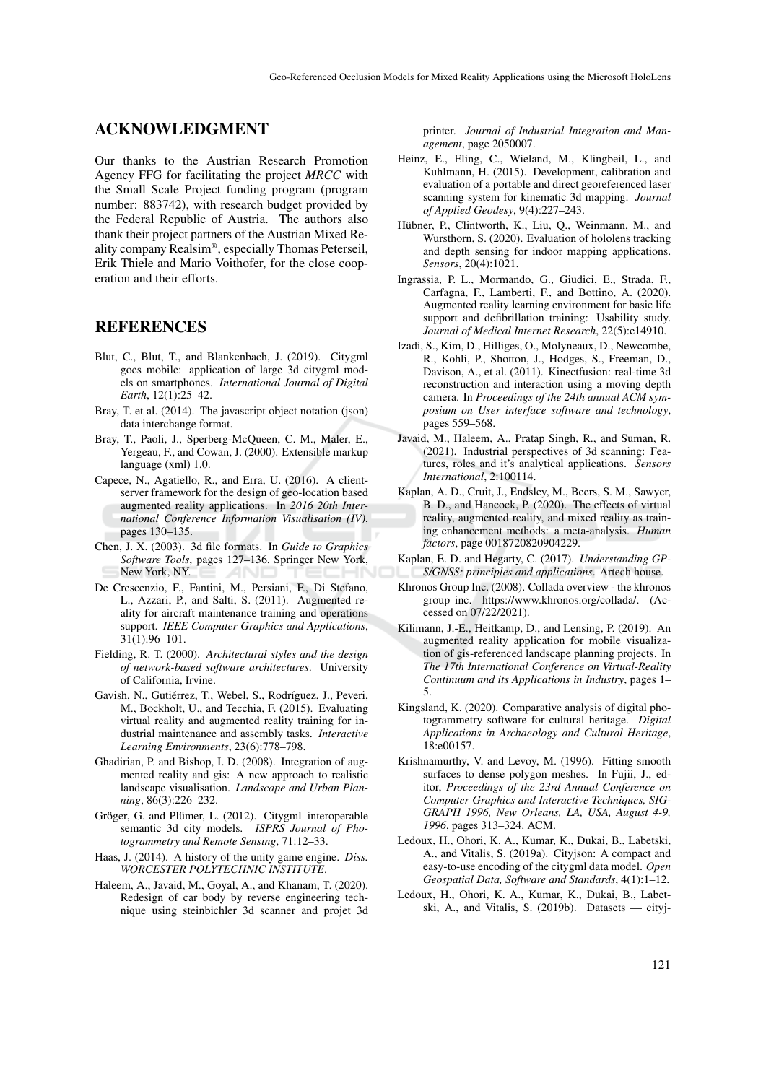### ACKNOWLEDGMENT

Our thanks to the Austrian Research Promotion Agency FFG for facilitating the project *MRCC* with the Small Scale Project funding program (program number: 883742), with research budget provided by the Federal Republic of Austria. The authors also thank their project partners of the Austrian Mixed Reality company Realsim® , especially Thomas Peterseil, Erik Thiele and Mario Voithofer, for the close cooperation and their efforts.

### REFERENCES

- Blut, C., Blut, T., and Blankenbach, J. (2019). Citygml goes mobile: application of large 3d citygml models on smartphones. *International Journal of Digital Earth*, 12(1):25–42.
- Bray, T. et al. (2014). The javascript object notation (json) data interchange format.
- Bray, T., Paoli, J., Sperberg-McQueen, C. M., Maler, E., Yergeau, F., and Cowan, J. (2000). Extensible markup language (xml) 1.0.
- Capece, N., Agatiello, R., and Erra, U. (2016). A clientserver framework for the design of geo-location based augmented reality applications. In *2016 20th International Conference Information Visualisation (IV)*, pages 130–135.
- Chen, J. X. (2003). 3d file formats. In *Guide to Graphics Software Tools*, pages 127–136. Springer New York, New York, NY.
- De Crescenzio, F., Fantini, M., Persiani, F., Di Stefano, L., Azzari, P., and Salti, S. (2011). Augmented reality for aircraft maintenance training and operations support. *IEEE Computer Graphics and Applications*, 31(1):96–101.
- Fielding, R. T. (2000). *Architectural styles and the design of network-based software architectures*. University of California, Irvine.
- Gavish, N., Gutiérrez, T., Webel, S., Rodríguez, J., Peveri, M., Bockholt, U., and Tecchia, F. (2015). Evaluating virtual reality and augmented reality training for industrial maintenance and assembly tasks. *Interactive Learning Environments*, 23(6):778–798.
- Ghadirian, P. and Bishop, I. D. (2008). Integration of augmented reality and gis: A new approach to realistic landscape visualisation. *Landscape and Urban Planning*, 86(3):226–232.
- Gröger, G. and Plümer, L. (2012). Citygml–interoperable semantic 3d city models. *ISPRS Journal of Photogrammetry and Remote Sensing*, 71:12–33.
- Haas, J. (2014). A history of the unity game engine. *Diss. WORCESTER POLYTECHNIC INSTITUTE*.
- Haleem, A., Javaid, M., Goyal, A., and Khanam, T. (2020). Redesign of car body by reverse engineering technique using steinbichler 3d scanner and projet 3d

printer. *Journal of Industrial Integration and Management*, page 2050007.

- Heinz, E., Eling, C., Wieland, M., Klingbeil, L., and Kuhlmann, H. (2015). Development, calibration and evaluation of a portable and direct georeferenced laser scanning system for kinematic 3d mapping. *Journal of Applied Geodesy*, 9(4):227–243.
- Hübner, P., Clintworth, K., Liu, Q., Weinmann, M., and Wursthorn, S. (2020). Evaluation of hololens tracking and depth sensing for indoor mapping applications. *Sensors*, 20(4):1021.
- Ingrassia, P. L., Mormando, G., Giudici, E., Strada, F., Carfagna, F., Lamberti, F., and Bottino, A. (2020). Augmented reality learning environment for basic life support and defibrillation training: Usability study. *Journal of Medical Internet Research*, 22(5):e14910.
- Izadi, S., Kim, D., Hilliges, O., Molyneaux, D., Newcombe, R., Kohli, P., Shotton, J., Hodges, S., Freeman, D., Davison, A., et al. (2011). Kinectfusion: real-time 3d reconstruction and interaction using a moving depth camera. In *Proceedings of the 24th annual ACM symposium on User interface software and technology*, pages 559–568.
- Javaid, M., Haleem, A., Pratap Singh, R., and Suman, R. (2021). Industrial perspectives of 3d scanning: Features, roles and it's analytical applications. *Sensors International*, 2:100114.
- Kaplan, A. D., Cruit, J., Endsley, M., Beers, S. M., Sawyer, B. D., and Hancock, P. (2020). The effects of virtual reality, augmented reality, and mixed reality as training enhancement methods: a meta-analysis. *Human factors*, page 0018720820904229.
- Kaplan, E. D. and Hegarty, C. (2017). *Understanding GP-S/GNSS: principles and applications*. Artech house.
- Khronos Group Inc. (2008). Collada overview the khronos group inc. https://www.khronos.org/collada/. (Accessed on 07/22/2021).
- Kilimann, J.-E., Heitkamp, D., and Lensing, P. (2019). An augmented reality application for mobile visualization of gis-referenced landscape planning projects. In *The 17th International Conference on Virtual-Reality Continuum and its Applications in Industry*, pages 1– 5.
- Kingsland, K. (2020). Comparative analysis of digital photogrammetry software for cultural heritage. *Digital Applications in Archaeology and Cultural Heritage*, 18:e00157.
- Krishnamurthy, V. and Levoy, M. (1996). Fitting smooth surfaces to dense polygon meshes. In Fujii, J., editor, *Proceedings of the 23rd Annual Conference on Computer Graphics and Interactive Techniques, SIG-GRAPH 1996, New Orleans, LA, USA, August 4-9, 1996*, pages 313–324. ACM.
- Ledoux, H., Ohori, K. A., Kumar, K., Dukai, B., Labetski, A., and Vitalis, S. (2019a). Cityjson: A compact and easy-to-use encoding of the citygml data model. *Open Geospatial Data, Software and Standards*, 4(1):1–12.
- Ledoux, H., Ohori, K. A., Kumar, K., Dukai, B., Labetski, A., and Vitalis, S. (2019b). Datasets — cityj-